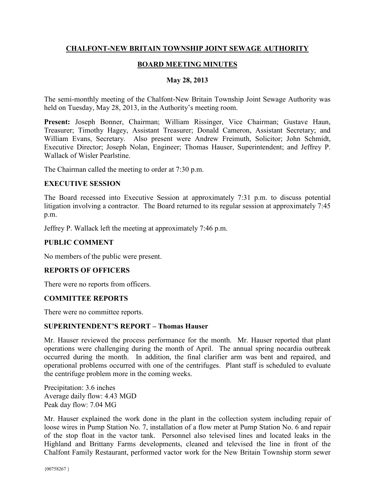# **CHALFONT-NEW BRITAIN TOWNSHIP JOINT SEWAGE AUTHORITY**

# **BOARD MEETING MINUTES**

#### **May 28, 2013**

The semi-monthly meeting of the Chalfont-New Britain Township Joint Sewage Authority was held on Tuesday, May 28, 2013, in the Authority's meeting room.

**Present:** Joseph Bonner, Chairman; William Rissinger, Vice Chairman; Gustave Haun, Treasurer; Timothy Hagey, Assistant Treasurer; Donald Cameron, Assistant Secretary; and William Evans, Secretary. Also present were Andrew Freimuth, Solicitor; John Schmidt, Executive Director; Joseph Nolan, Engineer; Thomas Hauser, Superintendent; and Jeffrey P. Wallack of Wisler Pearlstine.

The Chairman called the meeting to order at 7:30 p.m.

#### **EXECUTIVE SESSION**

The Board recessed into Executive Session at approximately 7:31 p.m. to discuss potential litigation involving a contractor. The Board returned to its regular session at approximately 7:45 p.m.

Jeffrey P. Wallack left the meeting at approximately 7:46 p.m.

### **PUBLIC COMMENT**

No members of the public were present.

#### **REPORTS OF OFFICERS**

There were no reports from officers.

#### **COMMITTEE REPORTS**

There were no committee reports.

#### **SUPERINTENDENT'S REPORT – Thomas Hauser**

Mr. Hauser reviewed the process performance for the month. Mr. Hauser reported that plant operations were challenging during the month of April. The annual spring nocardia outbreak occurred during the month. In addition, the final clarifier arm was bent and repaired, and operational problems occurred with one of the centrifuges. Plant staff is scheduled to evaluate the centrifuge problem more in the coming weeks.

Precipitation: 3.6 inches Average daily flow: 4.43 MGD Peak day flow: 7.04 MG

Mr. Hauser explained the work done in the plant in the collection system including repair of loose wires in Pump Station No. 7, installation of a flow meter at Pump Station No. 6 and repair of the stop float in the vactor tank. Personnel also televised lines and located leaks in the Highland and Brittany Farms developments, cleaned and televised the line in front of the Chalfont Family Restaurant, performed vactor work for the New Britain Township storm sewer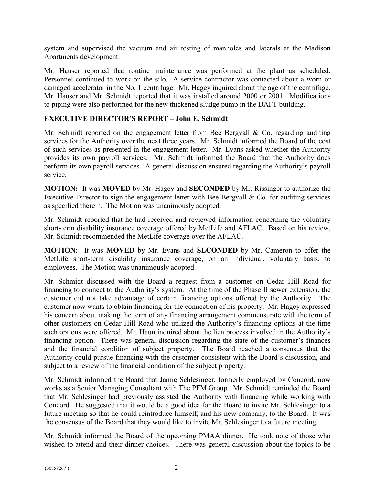system and supervised the vacuum and air testing of manholes and laterals at the Madison Apartments development.

Mr. Hauser reported that routine maintenance was performed at the plant as scheduled. Personnel continued to work on the silo. A service contractor was contacted about a worn or damaged accelerator in the No. 1 centrifuge. Mr. Hagey inquired about the age of the centrifuge. Mr. Hauser and Mr. Schmidt reported that it was installed around 2000 or 2001. Modifications to piping were also performed for the new thickened sludge pump in the DAFT building.

# **EXECUTIVE DIRECTOR'S REPORT – John E. Schmidt**

Mr. Schmidt reported on the engagement letter from Bee Bergvall & Co. regarding auditing services for the Authority over the next three years. Mr. Schmidt informed the Board of the cost of such services as presented in the engagement letter. Mr. Evans asked whether the Authority provides its own payroll services. Mr. Schmidt informed the Board that the Authority does perform its own payroll services. A general discussion ensured regarding the Authority's payroll service.

**MOTION:** It was **MOVED** by Mr. Hagey and **SECONDED** by Mr. Rissinger to authorize the Executive Director to sign the engagement letter with Bee Bergvall  $\&$  Co. for auditing services as specified therein. The Motion was unanimously adopted.

Mr. Schmidt reported that he had received and reviewed information concerning the voluntary short-term disability insurance coverage offered by MetLife and AFLAC. Based on his review, Mr. Schmidt recommended the MetLife coverage over the AFLAC.

**MOTION:** It was **MOVED** by Mr. Evans and **SECONDED** by Mr. Cameron to offer the MetLife short-term disability insurance coverage, on an individual, voluntary basis, to employees. The Motion was unanimously adopted.

Mr. Schmidt discussed with the Board a request from a customer on Cedar Hill Road for financing to connect to the Authority's system. At the time of the Phase II sewer extension, the customer did not take advantage of certain financing options offered by the Authority. The customer now wants to obtain financing for the connection of his property. Mr. Hagey expressed his concern about making the term of any financing arrangement commensurate with the term of other customers on Cedar Hill Road who utilized the Authority's financing options at the time such options were offered. Mr. Haun inquired about the lien process involved in the Authority's financing option. There was general discussion regarding the state of the customer's finances and the financial condition of subject property. The Board reached a consensus that the Authority could pursue financing with the customer consistent with the Board's discussion, and subject to a review of the financial condition of the subject property.

Mr. Schmidt informed the Board that Jamie Schlesinger, formerly employed by Concord, now works as a Senior Managing Consultant with The PFM Group. Mr. Schmidt reminded the Board that Mr. Schlesinger had previously assisted the Authority with financing while working with Concord. He suggested that it would be a good idea for the Board to invite Mr. Schlesinger to a future meeting so that he could reintroduce himself, and his new company, to the Board. It was the consensus of the Board that they would like to invite Mr. Schlesinger to a future meeting.

Mr. Schmidt informed the Board of the upcoming PMAA dinner. He took note of those who wished to attend and their dinner choices. There was general discussion about the topics to be